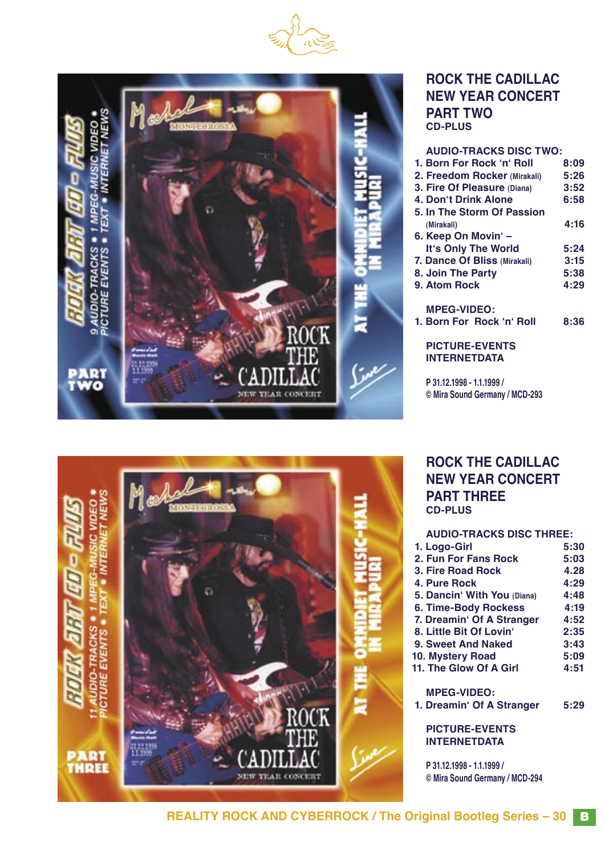



#### **ROCK THE CADILLAC NEW YEAR CONCERT PART TWO CD-PLUS**

| <b>AUDIO-TRACKS DISC TWO:</b>                |      |
|----------------------------------------------|------|
| 1. Born For Rock 'n' Roll                    | 8:09 |
| 2. Freedom Rocker (Mirakali)                 | 5:26 |
| 3. Fire Of Pleasure (Diana)                  | 3:52 |
| 4. Don't Drink Alone                         | 6:58 |
| 5. In The Storm Of Passion                   |      |
| (Mirakali)                                   | 4:16 |
| 6. Keep On Movin' -                          |      |
| It's Only The World                          | 5:24 |
| 7. Dance Of Bliss (Mirakali)                 | 3:15 |
| 8. Join The Party                            | 5:38 |
| 9. Atom Rock                                 | 4:29 |
| <b>MPEG-VIDEO:</b>                           |      |
| 1. Born For Rock 'n' Roll                    | 8:36 |
| <b>PICTURE-EVENTS</b><br><b>INTERNETDATA</b> |      |
|                                              |      |

**P 31.12.1998 - 1.1.1999 / © Mira Sound Germany / MCD-293**

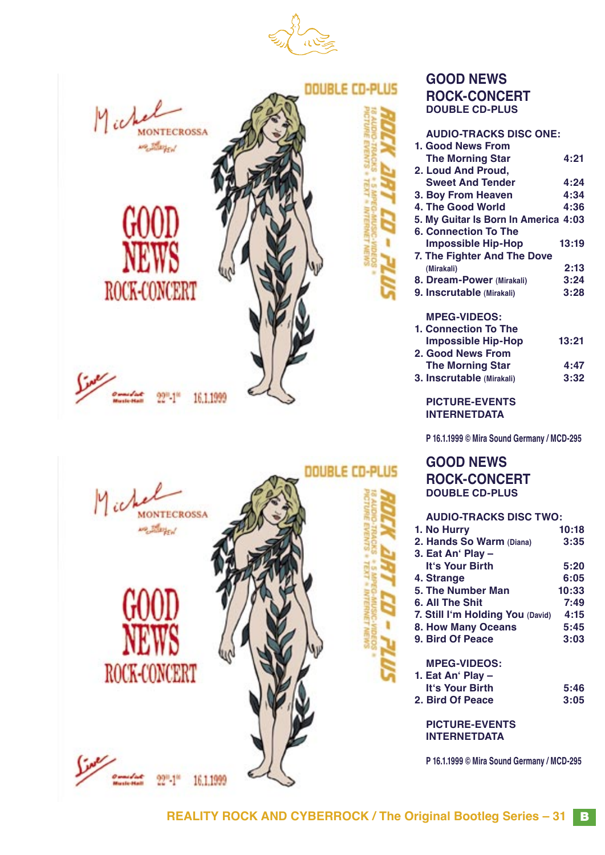

**DOUBLE CD-PLUS** 









16.1.1999

#### **GOOD NEWS ROCK-CONCERT DOUBLE CD-PLUS**

| <b>AUDIO-TRACKS DISC ONE:</b>        |       |
|--------------------------------------|-------|
| 1. Good News From                    |       |
| <b>The Morning Star</b>              | 4:21  |
| 2. Loud And Proud,                   |       |
| <b>Sweet And Tender</b>              | 4:24  |
| 3. Boy From Heaven                   | 4:34  |
| 4. The Good World                    | 4:36  |
| 5. My Guitar Is Born In America 4:03 |       |
| 6. Connection To The                 |       |
| <b>Impossible Hip-Hop</b>            | 13:19 |
| 7. The Fighter And The Dove          |       |
| (Mirakali)                           | 2:13  |
| 8. Dream-Power (Mirakali)            | 3:24  |
| 9. Inscrutable (Mirakali)            | 3:28  |
|                                      |       |
| <b>MPEG-VIDEOS:</b>                  |       |
| 1. Connection To The                 |       |
| <b>Impossible Hip-Hop</b>            | 13:21 |
| 2. Good News From                    |       |
| <b>The Morning Star</b>              | 4:47  |
| 3. Inscrutable (Mirakali)            | 3:32  |
|                                      |       |

**PICTURE-EVENTS INTERNETDATA**

**P 16.1.1999 © Mira Sound Germany / MCD-295**

**GOOD NEWS ROCK-CONCERT DOUBLE CD-PLUS**

#### **AUDIO-TRACKS DISC TWO: 1. No Hurry 10:18 2. Hands So Warm (Diana) 3:35 3. Eat Anʻ Play – Itʻs Your Birth 5:20 4. Strange 6:05 5. The Number Man 10:33 6. All The Shit 7:49 7. Still Iʻm Holding You (David) 4:15 8. How Many Oceans 5:45 9. Bird Of Peace MPEG-VIDEOS: 1. Eat Anʻ Play – Itʻs Your Birth 5:46 2. Bird Of Peace**

**PICTURE-EVENTS INTERNETDATA**

**P 16.1.1999 © Mira Sound Germany / MCD-295**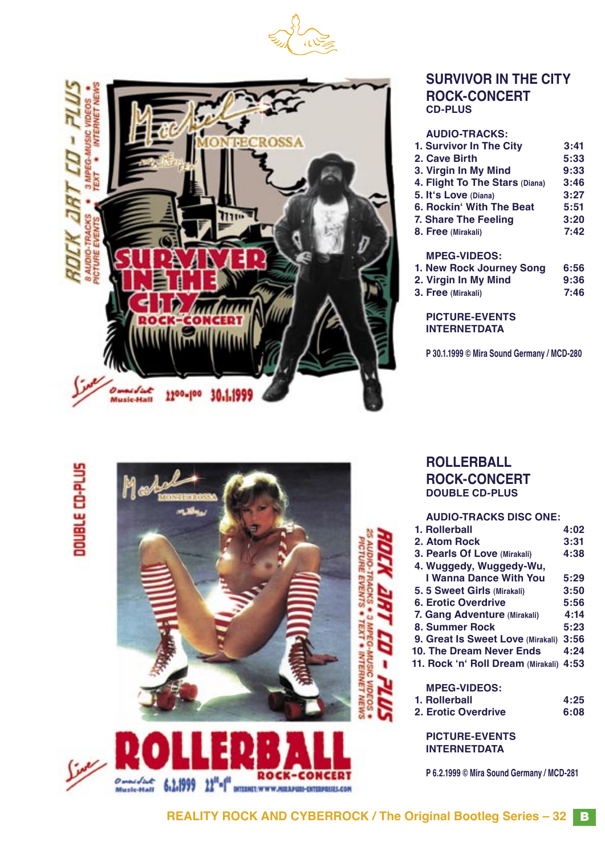



#### **SURVIVOR IN THE CITY ROCK-CONCERT CD-PLUS**

| <b>AUDIO-TRACKS:</b>           |      |
|--------------------------------|------|
| 1. Survivor In The City        | 3:41 |
| 2. Cave Birth                  | 5:33 |
| 3. Virgin In My Mind           | 9:33 |
| 4. Flight To The Stars (Diana) | 3:46 |
| 5. It's Love (Diana)           | 3:27 |
| 6. Rockin' With The Beat       | 5:51 |
| 7. Share The Feeling           | 3:20 |
| 8. Free (Mirakali)             | 7:42 |
| <b>MPEG-VIDEOS:</b>            |      |
| 1. New Rock Journey Song       | 6:56 |
| 2. Virgin In My Mind           | 9:36 |
| 3. Free (Mirakali)             | 7:46 |
| <b>PICTURE-EVENTS</b>          |      |

**INTERNETDATA**

**P 30.1.1999 © Mira Sound Germany / MCD-280**

# DOUBLE CD-PLUS





**ROLLERBALL ROCK-CONCERT DOUBLE CD-PLUS**

#### **AUDIO-TRACKS DISC ONE:**

| 1. Rollerball                      | 4:02 |
|------------------------------------|------|
| 2. Atom Rock                       | 3:31 |
| 3. Pearls Of Love (Mirakali)       | 4:38 |
| 4. Wuggedy, Wuggedy-Wu,            |      |
| I Wanna Dance With You             | 5:29 |
| 5. 5 Sweet Girls (Mirakali)        | 3:50 |
| 6. Erotic Overdrive                | 5:56 |
| 7. Gang Adventure (Mirakali)       | 4:14 |
| 8. Summer Rock                     | 5:23 |
| 9. Great Is Sweet Love (Mirakali)  | 3:56 |
| 10. The Dream Never Ends           | 4:24 |
| 11. Rock 'n' Roll Dream (Mirakali) | 4:53 |
| <b>MPEG-VIDEOS:</b>                |      |
| 1. Rollerball                      | 4:25 |
| 2. Erotic Overdrive                | 6:08 |
|                                    |      |
|                                    |      |

**PICTURE-EVENTS INTERNETDATA**

**P 6.2.1999 © Mira Sound Germany / MCD-281**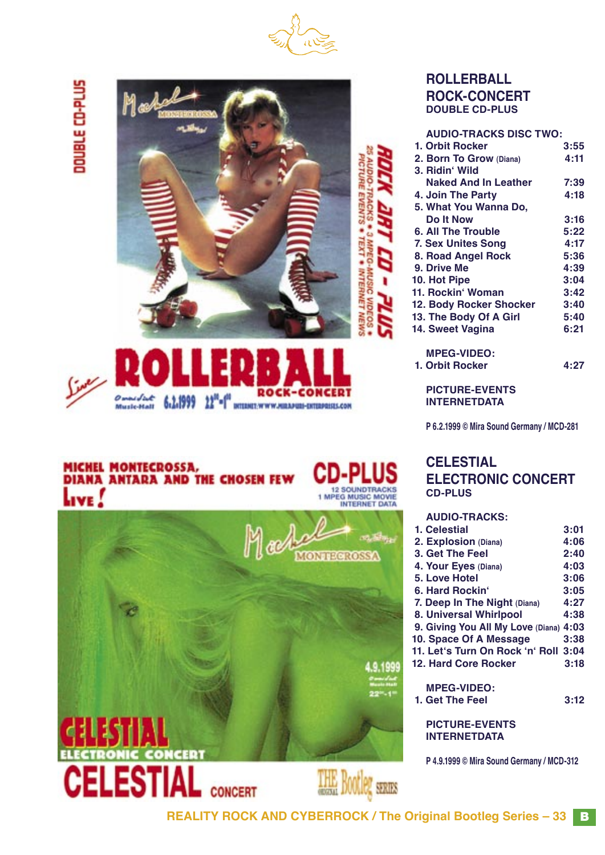

# DOUBLE CD-PLUS





## MICHEL MONTECROSSA,<br>DIANA ANTARA AND THE CHOSEN FEW Live!





#### **ROLLERBALL ROCK-CONCERT DOUBLE CD-PLUS**

| <b>AUDIO-TRACKS DISC TWO:</b> |      |
|-------------------------------|------|
| 1. Orbit Rocker               | 3:55 |
| 2. Born To Grow (Diana)       | 4:11 |
| 3. Ridin' Wild                |      |
| <b>Naked And In Leather</b>   | 7:39 |
| 4. Join The Party             | 4:18 |
| 5. What You Wanna Do,         |      |
| Do It Now                     | 3:16 |
| 6. All The Trouble            | 5:22 |
| <b>7. Sex Unites Song</b>     | 4:17 |
| 8. Road Angel Rock            | 5:36 |
| 9. Drive Me                   | 4:39 |
| 10. Hot Pipe                  | 3:04 |
| 11. Rockin' Woman             | 3:42 |
| 12. Body Rocker Shocker       | 3:40 |
| 13. The Body Of A Girl        | 5:40 |
| 14. Sweet Vagina              | 6:21 |
| <b>MPEG-VIDEO:</b>            |      |
| 1. Orbit Rocker               | 4:27 |

**PICTURE-EVENTS INTERNETDATA**

**P 6.2.1999 © Mira Sound Germany / MCD-281**

#### **CELESTIAL ELECTRONIC CONCERT CD-PLUS**

| <b>AUDIO-TRACKS:</b>                   |      |
|----------------------------------------|------|
| 1. Celestial                           | 3:01 |
| 2. Explosion (Diana)                   | 4:06 |
| 3. Get The Feel                        | 2:40 |
| 4. Your Eyes (Diana)                   | 4:03 |
| 5. Love Hotel                          | 3:06 |
| 6. Hard Rockin'                        | 3:05 |
| 7. Deep In The Night (Diana)           | 4:27 |
| 8. Universal Whirlpool                 | 4:38 |
| 9. Giving You All My Love (Diana) 4:03 |      |
| 10. Space Of A Message                 | 3:38 |
| 11. Let's Turn On Rock 'n' Roll 3:04   |      |
| 12. Hard Core Rocker                   | 3:18 |
| <b>MPEG-VIDEO:</b>                     |      |
| 1. Get The Feel                        | 3:12 |
| DIATHDE_EVENTS                         |      |

**PICTURE-EVENTS INTERNETDATA**

**P 4.9.1999 © Mira Sound Germany / MCD-312**

**REALITY ROCK AND CYBERROCK / The Original Bootleg Series – 33** B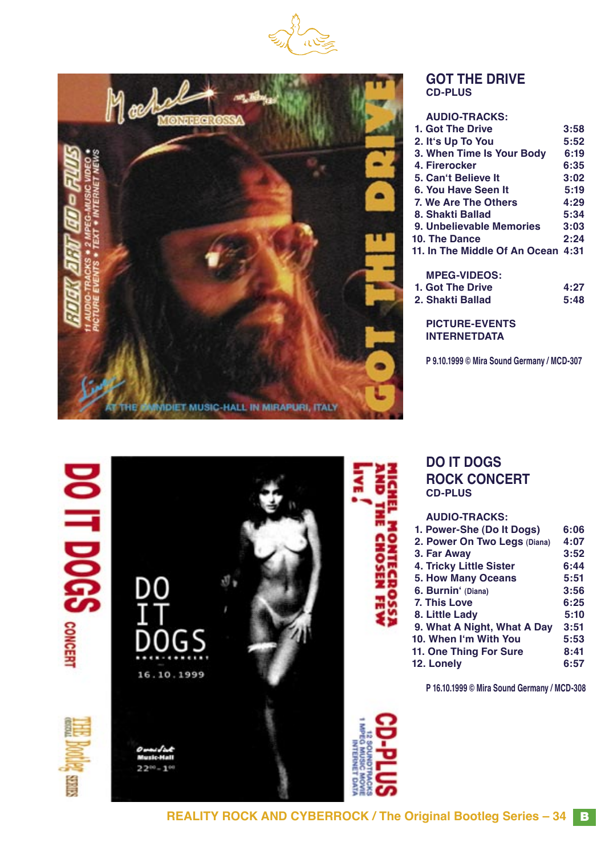



#### **GOT THE DRIVE CD-PLUS**

| <b>AUDIO-TRACKS:</b>               |      |
|------------------------------------|------|
| 1. Got The Drive                   | 3:58 |
| 2. It's Up To You                  | 5:52 |
| 3. When Time Is Your Body          | 6:19 |
| 4. Firerocker                      | 6:35 |
| 5. Can't Believe It                | 3:02 |
| 6. You Have Seen It                | 5:19 |
| 7. We Are The Others               | 4:29 |
| 8. Shakti Ballad                   | 5:34 |
| 9. Unbelievable Memories           | 3:03 |
| 10. The Dance                      | 2:24 |
| 11. In The Middle Of An Ocean 4:31 |      |
| <b>MPEG-VIDEOS:</b>                |      |
| 1. Got The Drive                   | 4:27 |
| 2. Shakti Ballad                   | 5:48 |
| <b>PICTURE-EVENTS</b>              |      |

**INTERNETDATA**

**P 9.10.1999 © Mira Sound Germany / MCD-307**



#### **DO IT DOGS ROCK CONCERT CD-PLUS**

#### **AUDIO-TRACKS:**

| 1. Power-She (Do It Dogs)    | 6:06 |
|------------------------------|------|
| 2. Power On Two Legs (Diana) | 4:07 |
| 3. Far Away                  | 3:52 |
| 4. Tricky Little Sister      | 6:44 |
| <b>5. How Many Oceans</b>    | 5:51 |
| 6. Burnin' (Diana)           | 3:56 |
| 7. This Love                 | 6:25 |
| 8. Little Lady               | 5:10 |
| 9. What A Night, What A Day  | 3:51 |
| 10. When I'm With You        | 5:53 |
| 11. One Thing For Sure       | 8:41 |
| 12. Lonely                   | 6:57 |
|                              |      |

**P 16.10.1999 © Mira Sound Germany / MCD-308**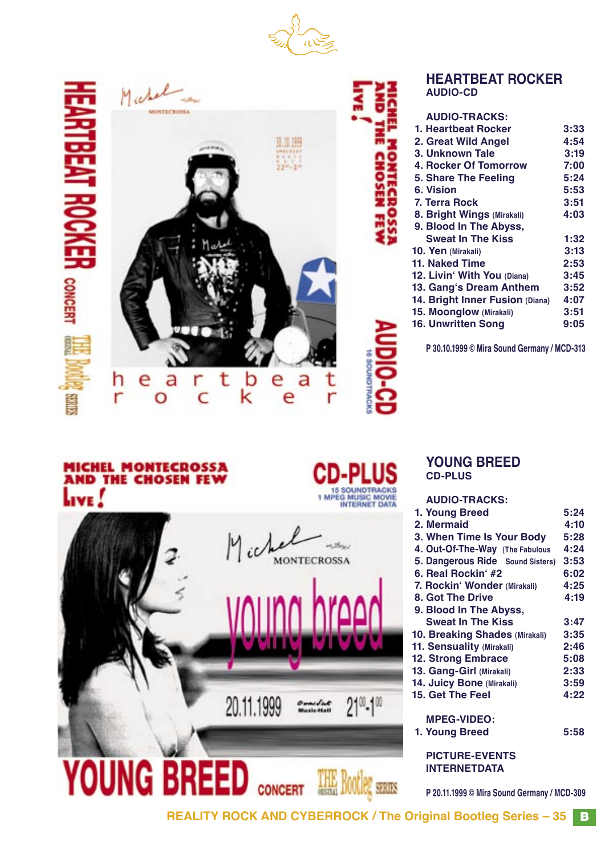



Salars<sub>1</sub>



#### **HEARTBEAT ROCKER AUDIO-CD**

#### **AUDIO-TRACKS: 1. Heartbeat Rocker 3:33 2. Great Wild Angel 4:54 3. Unknown Tale 3:19 4. Rocker Of Tomorrow 7:00**<br> **5. Share The Feeling 5:24 5. Share The Feeling 5:24 6. Vision 5:53 7. Terra Rock 3:51 8. Bright Wings (Mirakali) 4:03 9. Blood In The Abyss, Sweat In The Kiss** 1:32<br>**Pen** (Mirakali) 3:13 **10. Yen (Mirakali) 3:13 11. Naked Time 2:53 12. Livinʻ With You (Diana) 3:45 13. Gangʻs Dream Anthem 3:52 14. Bright Inner Fusion (Diana) 4:07 15. Moonglow (Mirakali) 3:51 16. Unwritten Song**

**P 30.10.1999 © Mira Sound Germany / MCD-313**

## **MICHEL MONTECROSSA<br>AND THE CHOSEN FEW** LIVE!



**MONTECROSSA** 

20.11.1999

**CONCERT** 

**BREE** 

NG

#### **YOUNG BREED CD-PLUS**

#### **AUDIO-TRACKS:**

| 1. Young Breed                        | 5:24 |
|---------------------------------------|------|
| 2. Mermaid                            | 4:10 |
| 3. When Time Is Your Body             | 5:28 |
| 4. Out-Of-The-Way (The Fabulous       | 4:24 |
| 5. Dangerous Ride Sound Sisters)      | 3:53 |
| 6. Real Rockin' #2                    | 6:02 |
| 7. Rockin' Wonder (Mirakali)          | 4:25 |
| 8. Got The Drive                      | 4:19 |
| 9. Blood In The Abyss,                |      |
| <b>Sweat In The Kiss</b>              | 3:47 |
| <b>10. Breaking Shades (Mirakali)</b> | 3:35 |
| 11. Sensuality (Mirakali)             | 2:46 |
| <b>12. Strong Embrace</b>             | 5:08 |
| 13. Gang-Girl (Mirakali)              | 2:33 |
| 14. Juicy Bone (Mirakali)             | 3:59 |
| 15. Get The Feel                      | 4:22 |
| <b>MPEG-VIDEO:</b>                    |      |
| 1. Young Breed                        | 5:58 |
| <b>PICTURE-EVENTS</b>                 |      |
| <b>INTERNETDATA</b>                   |      |

**P 20.11.1999 © Mira Sound Germany / MCD-309**

**REALITY ROCK AND CYBERROCK / The Original Bootleg Series – 35** B

**DOOTIS** SERIES

 $21^{\circ}\cdot1^{\circ\circ}$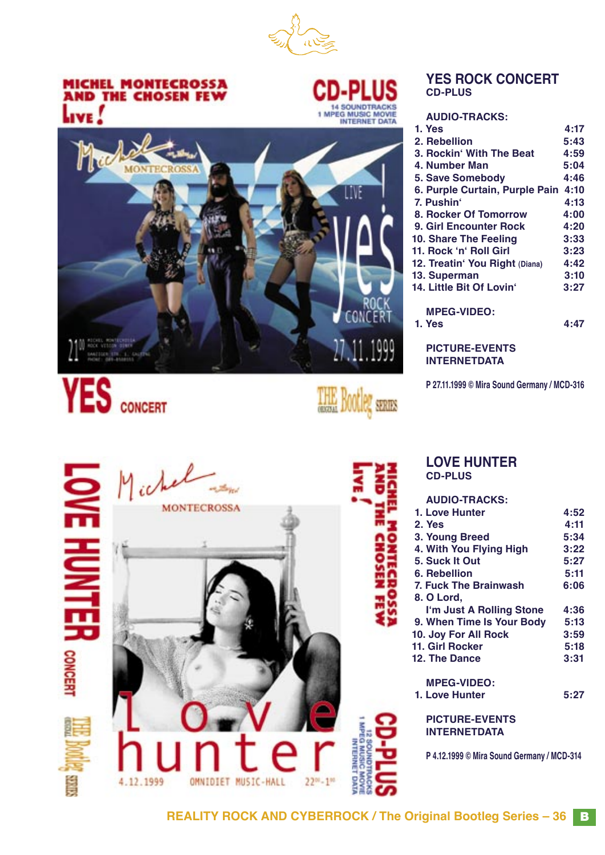

### **MICHEL MONTECROSSA<br>AND THE CHOSEN FEW** LIVE!



THE Bootleg series

#### **YES ROCK CONCERT CD-PLUS**

**AUDIO-TRACKS:**

| 1. Yes                         | 4:17 |
|--------------------------------|------|
| 2. Rebellion                   | 5:43 |
| 3. Rockin' With The Beat       | 4:59 |
| 4. Number Man                  | 5:04 |
| <b>5. Save Somebody</b>        | 4:46 |
| 6. Purple Curtain, Purple Pain | 4:10 |
| 7. Pushin'                     | 4:13 |
| 8. Rocker Of Tomorrow          | 4:00 |
| 9. Girl Encounter Rock         | 4:20 |
| 10. Share The Feeling          | 3:33 |
| 11. Rock 'n' Roll Girl         | 3:23 |
| 12. Treatin' You Right (Diana) | 4:42 |
| 13. Superman                   | 3:10 |
| 14. Little Bit Of Lovin'       | 3:27 |
| <b>MPEG-VIDEO:</b>             |      |
| 1. Yes                         | 4:47 |
|                                |      |

**PICTURE-EVENTS INTERNETDATA**

**P 27.11.1999 © Mira Sound Germany / MCD-316**





#### **LOVE HUNTER CD-PLUS**

#### **AUDIO-TRACKS: 1. Love Hunter 4:52 2. Yes 4:11**

| 3. Young Breed               | 5:34 |
|------------------------------|------|
| 4. With You Flying High      | 3:22 |
| 5. Suck It Out               | 5:27 |
| 6. Rebellion                 | 5:11 |
| <b>7. Fuck The Brainwash</b> | 6:06 |
| 8. O Lord,                   |      |
| I'm Just A Rolling Stone     | 4:36 |
| 9. When Time Is Your Body    | 5:13 |
| 10. Joy For All Rock         | 3:59 |
| 11. Girl Rocker              | 5:18 |
| 12. The Dance                | 3:31 |
|                              |      |
| <b>MPEG-VIDEO:</b>           |      |
| 1. Love Hunter               | 5:27 |

**PICTURE-EVENTS INTERNETDATA**

**P 4.12.1999 © Mira Sound Germany / MCD-314**

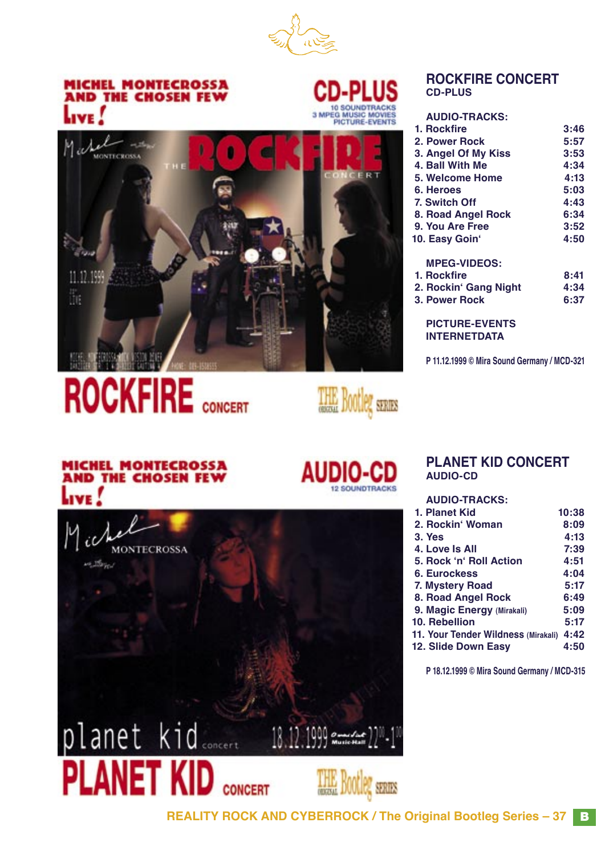

### **MICHEL MONTECROSSA<br>AND THE CHOSEN FEW** Live .





# **ROCKFIRE** CONCERT



#### **ROCKFIRE CONCERT CD-PLUS**

| 3:46 |
|------|
| 5:57 |
| 3:53 |
| 4:34 |
| 4:13 |
| 5:03 |
| 4:43 |
| 6:34 |
| 3:52 |
| 4:50 |
|      |
| 8:41 |
| 4:34 |
| 6:37 |
|      |
|      |
|      |

**P 11.12.1999 © Mira Sound Germany / MCD-321**

#### **MICHEL MONTECROSSA AND THE CHOSEN FEV TVE**

**MONTECROSSA** 

#### **AUDIO-CD SOUNDTRACKS**

#### **PLANET KID CONCERT AUDIO-CD**

#### **AUDIO-TRACKS:**

| 1. Planet Kid                       | 10:38 |
|-------------------------------------|-------|
| 2. Rockin' Woman                    | 8:09  |
| <b>3. Yes</b>                       | 4:13  |
| 4. Love Is All                      | 7:39  |
| 5. Rock 'n' Roll Action             | 4:51  |
| 6. Eurockess                        | 4:04  |
| 7. Mystery Road                     | 5:17  |
| 8. Road Angel Rock                  | 6:49  |
| 9. Magic Energy (Mirakali)          | 5:09  |
| 10. Rebellion                       | 5:17  |
| 11. Your Tender Wildness (Mirakali) | 4:42  |
| 12. Slide Down Easy                 | 4:50  |
|                                     |       |

**P 18.12.1999 © Mira Sound Germany / MCD-315**